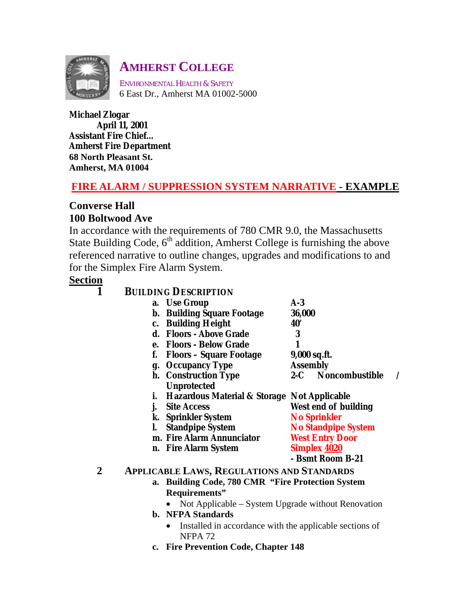

# **AMHERST COLLEGE**

ENVIRONMENTAL HEALTH & SAFETY 6 East Dr., Amherst MA 01002-5000

**Michael Zlogar April 11, 2001 Assistant Fire Chief… Amherst Fire Department 68 North Pleasant St. Amherst, MA 01004** 

# **FIRE ALARM / SUPPRESSION SYSTEM NARRATIVE - EXAMPLE**

# **Converse Hall 100 Boltwood Ave**

In accordance with the requirements of 780 CMR 9.0, the Massachusetts State Building Code,  $6<sup>th</sup>$  addition, Amherst College is furnishing the above referenced narrative to outline changes, upgrades and modifications to and for the Simplex Fire Alarm System.

# **Section**

| $\ddot{\bar{\textbf{1}}}$ | <b>BUILDING DESCRIPTION</b>                                  |                 |                            |  |
|---------------------------|--------------------------------------------------------------|-----------------|----------------------------|--|
|                           | a. Use Group                                                 | $A-3$           |                            |  |
|                           | <b>b. Building Square Footage</b>                            | 36,000          |                            |  |
|                           | c. Building Height                                           | <b>40'</b>      |                            |  |
|                           | d. Floors - Above Grade                                      | 3               |                            |  |
|                           | e. Floors - Below Grade                                      | 1               |                            |  |
|                           | f.<br><b>Floors - Square Footage</b>                         | 9,000 sq.ft.    |                            |  |
|                           | g. Occupancy Type                                            | <b>Assembly</b> |                            |  |
|                           | h. Construction Type                                         |                 | 2-C Noncombustible         |  |
|                           | <b>Unprotected</b>                                           |                 |                            |  |
|                           | <b>Hazardous Material &amp; Storage Not Applicable</b><br>i. |                 |                            |  |
|                           | <b>Site Access</b><br>j.                                     |                 | West end of building       |  |
|                           | k. Sprinkler System                                          |                 | <b>No Sprinkler</b>        |  |
|                           | <b>Standpipe System</b><br>$\mathbf{L}$                      |                 | <b>No Standpipe System</b> |  |
|                           | m. Fire Alarm Annunciator                                    |                 | <b>West Entry Door</b>     |  |
|                           | n. Fire Alarm System                                         |                 | <b>Simplex 4020</b>        |  |
|                           |                                                              |                 | - Bsmt Room B-21           |  |
|                           | <b>APPLICABLE LAWS, REGULATIONS AND STANDARDS</b>            |                 |                            |  |
|                           | a. Building Code, 780 CMR "Fire Protection System            |                 |                            |  |
|                           | Requirements"                                                |                 |                            |  |
|                           | Not Applicable – System Upgrade without Renovation           |                 |                            |  |
|                           |                                                              |                 |                            |  |

- **b. NFPA Standards** 
	- Installed in accordance with the applicable sections of NFPA 72
- **c. Fire Prevention Code, Chapter 148**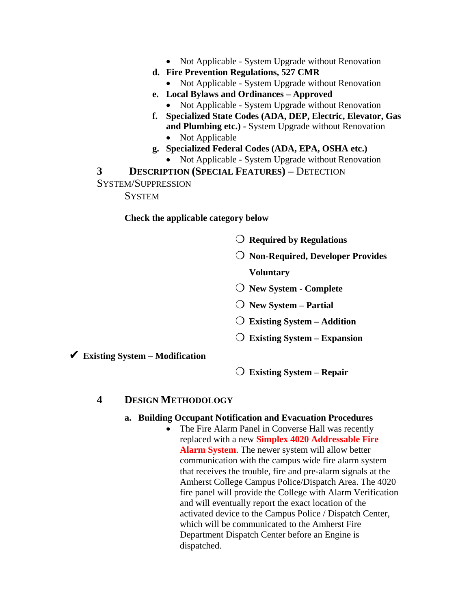- Not Applicable System Upgrade without Renovation
- **d. Fire Prevention Regulations, 527 CMR** 
	- Not Applicable System Upgrade without Renovation
- **e. Local Bylaws and Ordinances Approved** 
	- Not Applicable System Upgrade without Renovation
- **f. Specialized State Codes (ADA, DEP, Electric, Elevator, Gas and Plumbing etc.) -** System Upgrade without Renovation • Not Applicable
- **g. Specialized Federal Codes (ADA, EPA, OSHA etc.)** 
	- Not Applicable System Upgrade without Renovation

**3** DESCRIPTION (SPECIAL FEATURES) – DETECTION

SYSTEM/SUPPRESSION

**SYSTEM** 

**Check the applicable category below** 

- ❍ **Required by Regulations**
- ❍ **Non-Required, Developer Provides Voluntary**
- ❍ **New System Complete**
- ❍ **New System Partial**
- ❍ **Existing System Addition**
- ❍ **Existing System Expansion**

✔ **Existing System – Modification** 

❍ **Existing System – Repair** 

#### **4 DESIGN METHODOLOGY**

#### **a. Building Occupant Notification and Evacuation Procedures**

• The Fire Alarm Panel in Converse Hall was recently replaced with a new **Simplex 4020 Addressable Fire Alarm System**. The newer system will allow better communication with the campus wide fire alarm system that receives the trouble, fire and pre-alarm signals at the Amherst College Campus Police/Dispatch Area. The 4020 fire panel will provide the College with Alarm Verification and will eventually report the exact location of the activated device to the Campus Police / Dispatch Center, which will be communicated to the Amherst Fire Department Dispatch Center before an Engine is dispatched.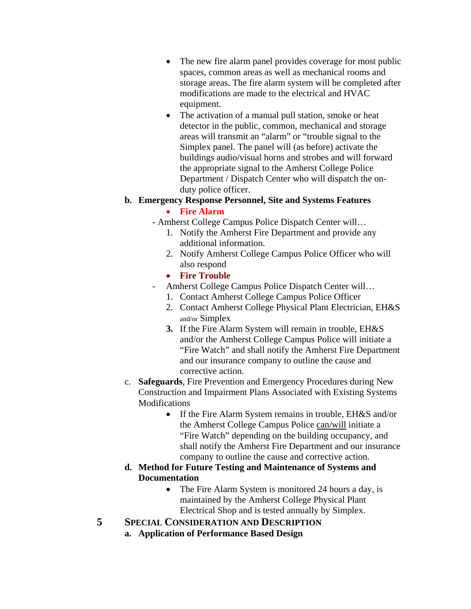- The new fire alarm panel provides coverage for most public spaces, common areas as well as mechanical rooms and storage areas. The fire alarm system will be completed after modifications are made to the electrical and HVAC equipment.
- The activation of a manual pull station, smoke or heat detector in the public, common, mechanical and storage areas will transmit an "alarm" or "trouble signal to the Simplex panel. The panel will (as before) activate the buildings audio/visual horns and strobes and will forward the appropriate signal to the Amherst College Police Department / Dispatch Center who will dispatch the onduty police officer.

### **b. Emergency Response Personnel, Site and Systems Features**

### • **Fire Alarm**

- Amherst College Campus Police Dispatch Center will…
	- 1. Notify the Amherst Fire Department and provide any additional information.
	- 2. Notify Amherst College Campus Police Officer who will also respond
	- **Fire Trouble**
- Amherst College Campus Police Dispatch Center will…
	- 1. Contact Amherst College Campus Police Officer
	- 2. Contact Amherst College Physical Plant Electrician, EH&S and/or Simplex
	- **3.** If the Fire Alarm System will remain in trouble, EH&S and/or the Amherst College Campus Police will initiate a "Fire Watch" and shall notify the Amherst Fire Department and our insurance company to outline the cause and corrective action.
- c. **Safeguards**, Fire Prevention and Emergency Procedures during New Construction and Impairment Plans Associated with Existing Systems Modifications
	- If the Fire Alarm System remains in trouble, EH&S and/or the Amherst College Campus Police can/will initiate a "Fire Watch" depending on the building occupancy, and shall notify the Amherst Fire Department and our insurance company to outline the cause and corrective action.
- **d. Method for Future Testing and Maintenance of Systems and Documentation** 
	- The Fire Alarm System is monitored 24 hours a day, is maintained by the Amherst College Physical Plant Electrical Shop and is tested annually by Simplex.
- **5 SPECIAL CONSIDERATION AND DESCRIPTION**
	- **a. Application of Performance Based Design**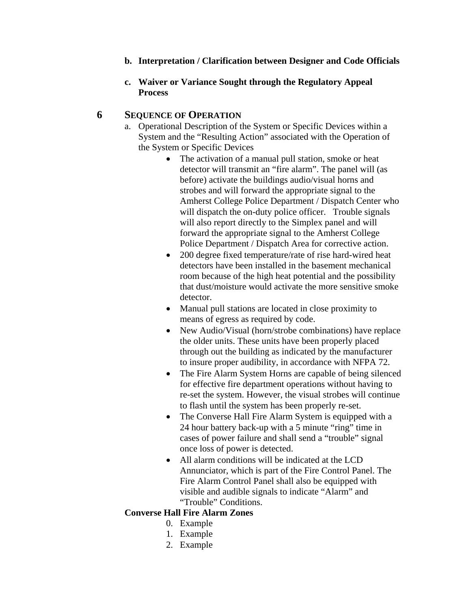- **b. Interpretation / Clarification between Designer and Code Officials**
- **c. Waiver or Variance Sought through the Regulatory Appeal Process**

#### **6 SEQUENCE OF OPERATION**

- a. Operational Description of the System or Specific Devices within a System and the "Resulting Action" associated with the Operation of the System or Specific Devices
	- The activation of a manual pull station, smoke or heat detector will transmit an "fire alarm". The panel will (as before) activate the buildings audio/visual horns and strobes and will forward the appropriate signal to the Amherst College Police Department / Dispatch Center who will dispatch the on-duty police officer. Trouble signals will also report directly to the Simplex panel and will forward the appropriate signal to the Amherst College Police Department / Dispatch Area for corrective action.
	- 200 degree fixed temperature/rate of rise hard-wired heat detectors have been installed in the basement mechanical room because of the high heat potential and the possibility that dust/moisture would activate the more sensitive smoke detector.
	- Manual pull stations are located in close proximity to means of egress as required by code.
	- New Audio/Visual (horn/strobe combinations) have replace the older units. These units have been properly placed through out the building as indicated by the manufacturer to insure proper audibility, in accordance with NFPA 72.
	- The Fire Alarm System Horns are capable of being silenced for effective fire department operations without having to re-set the system. However, the visual strobes will continue to flash until the system has been properly re-set.
	- The Converse Hall Fire Alarm System is equipped with a 24 hour battery back-up with a 5 minute "ring" time in cases of power failure and shall send a "trouble" signal once loss of power is detected.
	- All alarm conditions will be indicated at the LCD Annunciator, which is part of the Fire Control Panel. The Fire Alarm Control Panel shall also be equipped with visible and audible signals to indicate "Alarm" and "Trouble" Conditions.

### **Converse Hall Fire Alarm Zones**

- 0. Example
- 1. Example
- 2. Example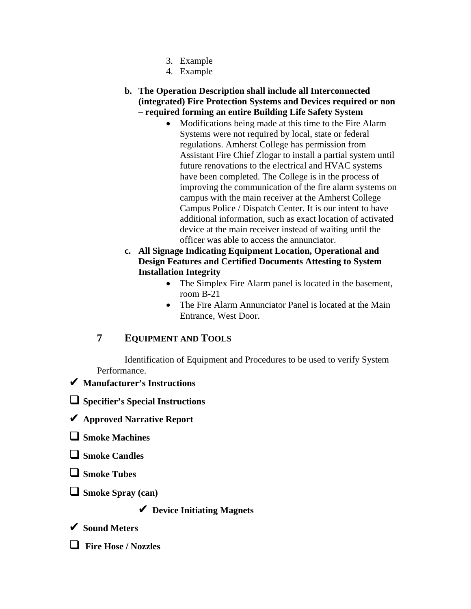- 3. Example
- 4. Example

### **b. The Operation Description shall include all Interconnected (integrated) Fire Protection Systems and Devices required or non – required forming an entire Building Life Safety System**

- Modifications being made at this time to the Fire Alarm Systems were not required by local, state or federal regulations. Amherst College has permission from Assistant Fire Chief Zlogar to install a partial system until future renovations to the electrical and HVAC systems have been completed. The College is in the process of improving the communication of the fire alarm systems on campus with the main receiver at the Amherst College Campus Police / Dispatch Center. It is our intent to have additional information, such as exact location of activated device at the main receiver instead of waiting until the officer was able to access the annunciator.
- **c. All Signage Indicating Equipment Location, Operational and Design Features and Certified Documents Attesting to System Installation Integrity** 
	- The Simplex Fire Alarm panel is located in the basement, room B-21
	- The Fire Alarm Annunciator Panel is located at the Main Entrance, West Door.

# **7 EQUIPMENT AND TOOLS**

Identification of Equipment and Procedures to be used to verify System Performance.

## ✔ **Manufacturer's Instructions**

! **Specifier's Special Instructions** 

- ✔ **Approved Narrative Report**
- ! **Smoke Machines**
- ! **Smoke Candles**

! **Smoke Tubes** 

□ Smoke Spray (can)

✔ **Device Initiating Magnets** 

✔ **Sound Meters** 

! **Fire Hose / Nozzles**